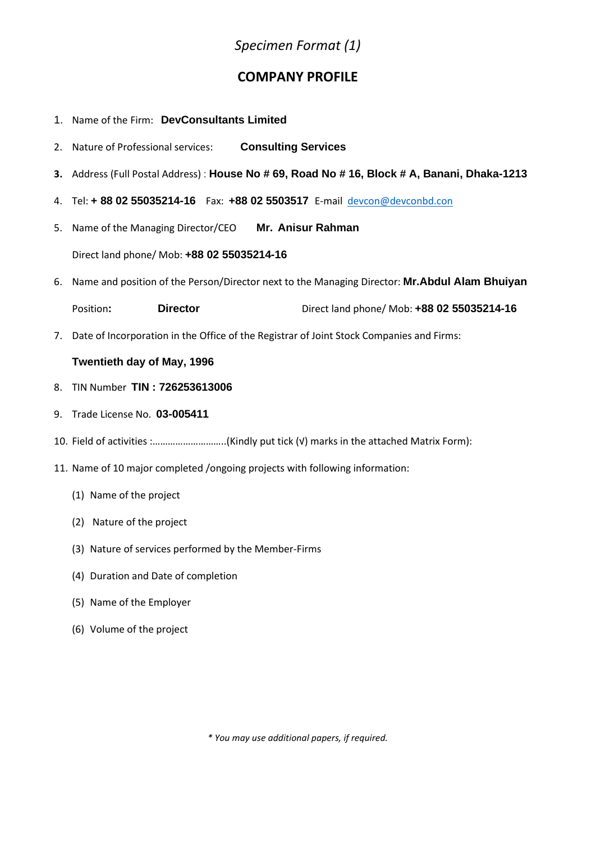## *Specimen Format (1)*

### **COMPANY PROFILE**

- 1. Name of the Firm: **DevConsultants Limited**
- 2. Nature of Professional services: **Consulting Services**
- **3.** Address (Full Postal Address) : **House No # 69, Road No # 16, Block # A, Banani, Dhaka-1213**
- 4. Tel: **+ 88 02 55035214-16** Fax: **+88 02 5503517** E-mail [devcon@devconbd.con](mailto:devcon@devconbd.con)
- 5. Name of the Managing Director/CEO **Mr. Anisur Rahman**

Direct land phone/ Mob: **+88 02 55035214-16**

6. Name and position of the Person/Director next to the Managing Director: **Mr.Abdul Alam Bhuiyan**

| Position: | <b>Director</b> | Direct land phone/ Mob: +88 02 55035214-16 |
|-----------|-----------------|--------------------------------------------|
|-----------|-----------------|--------------------------------------------|

7. Date of Incorporation in the Office of the Registrar of Joint Stock Companies and Firms:

#### **Twentieth day of May, 1996**

- 8. TIN Number **TIN : 726253613006**
- 9. Trade License No. **03-005411**
- 10. Field of activities :………………………..(Kindly put tick (√) marks in the attached Matrix Form):
- 11. Name of 10 major completed /ongoing projects with following information:
	- (1) Name of the project
	- (2) Nature of the project
	- (3) Nature of services performed by the Member-Firms
	- (4) Duration and Date of completion
	- (5) Name of the Employer
	- (6) Volume of the project

*\* You may use additional papers, if required.*